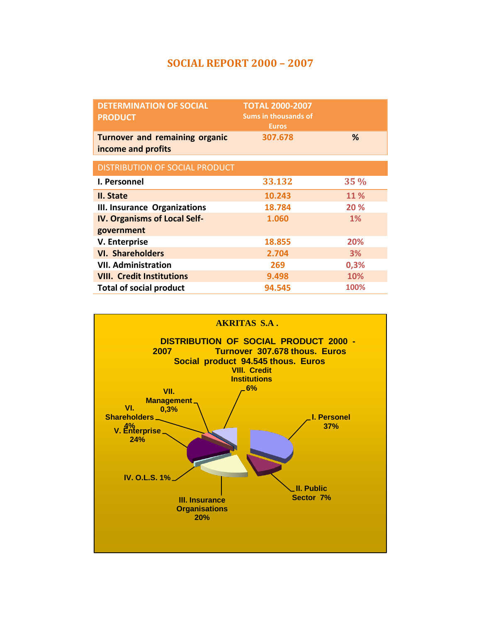## **SOCIAL REPORT 2000 – 2007**

| <b>DETERMINATION OF SOCIAL</b><br><b>PRODUCT</b>            | <b>TOTAL 2000-2007</b><br><b>Sums in thousands of</b><br><b>Euros</b> |        |
|-------------------------------------------------------------|-----------------------------------------------------------------------|--------|
| <b>Turnover and remaining organic</b><br>income and profits | 307.678                                                               | %      |
| DISTRIBUTION OF SOCIAL PRODUCT                              |                                                                       |        |
| <b>I. Personnel</b>                                         | 33.132                                                                | $35\%$ |
| II. State                                                   | 10.243                                                                | 11 %   |
| <b>III. Insurance Organizations</b>                         | 18.784                                                                | 20 %   |
| <b>IV. Organisms of Local Self-</b>                         | 1.060                                                                 | $1\%$  |
| government                                                  |                                                                       |        |
| V. Enterprise                                               | 18.855                                                                | 20%    |
| <b>VI. Shareholders</b>                                     | 2.704                                                                 | 3%     |
| <b>VII. Administration</b>                                  | 269                                                                   | 0,3%   |
| <b>VIII. Credit Institutions</b>                            | 9.498                                                                 | 10%    |
| <b>Total of social product</b>                              | 94.545                                                                | 100%   |